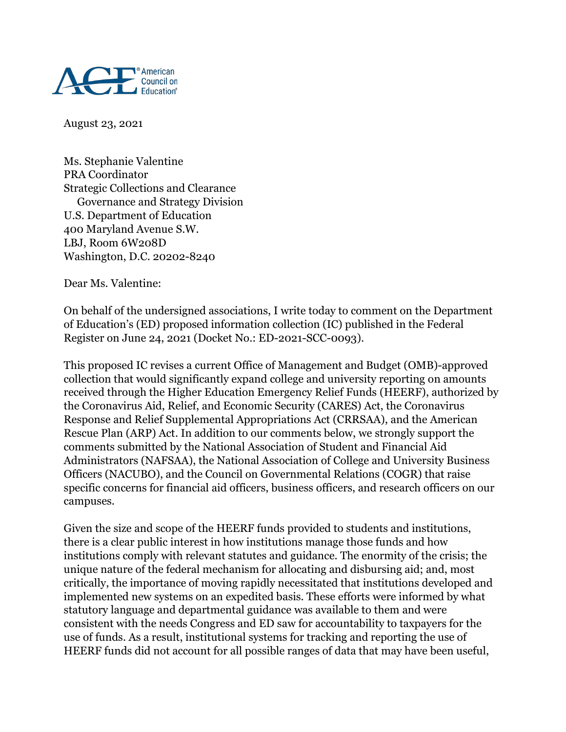

August 23, 2021

Ms. Stephanie Valentine PRA Coordinator Strategic Collections and Clearance Governance and Strategy Division U.S. Department of Education 400 Maryland Avenue S.W. LBJ, Room 6W208D Washington, D.C. 20202-8240

Dear Ms. Valentine:

On behalf of the undersigned associations, I write today to comment on the Department of Education's (ED) proposed information collection (IC) published in the Federal Register on June 24, 2021 (Docket No.: ED-2021-SCC-0093).

This proposed IC revises a current Office of Management and Budget (OMB)-approved collection that would significantly expand college and university reporting on amounts received through the Higher Education Emergency Relief Funds (HEERF), authorized by the Coronavirus Aid, Relief, and Economic Security (CARES) Act, the Coronavirus Response and Relief Supplemental Appropriations Act (CRRSAA), and the American Rescue Plan (ARP) Act. In addition to our comments below, we strongly support the comments submitted by the National Association of Student and Financial Aid Administrators (NAFSAA), the National Association of College and University Business Officers (NACUBO), and the Council on Governmental Relations (COGR) that raise specific concerns for financial aid officers, business officers, and research officers on our campuses.

Given the size and scope of the HEERF funds provided to students and institutions, there is a clear public interest in how institutions manage those funds and how institutions comply with relevant statutes and guidance. The enormity of the crisis; the unique nature of the federal mechanism for allocating and disbursing aid; and, most critically, the importance of moving rapidly necessitated that institutions developed and implemented new systems on an expedited basis. These efforts were informed by what statutory language and departmental guidance was available to them and were consistent with the needs Congress and ED saw for accountability to taxpayers for the use of funds. As a result, institutional systems for tracking and reporting the use of HEERF funds did not account for all possible ranges of data that may have been useful,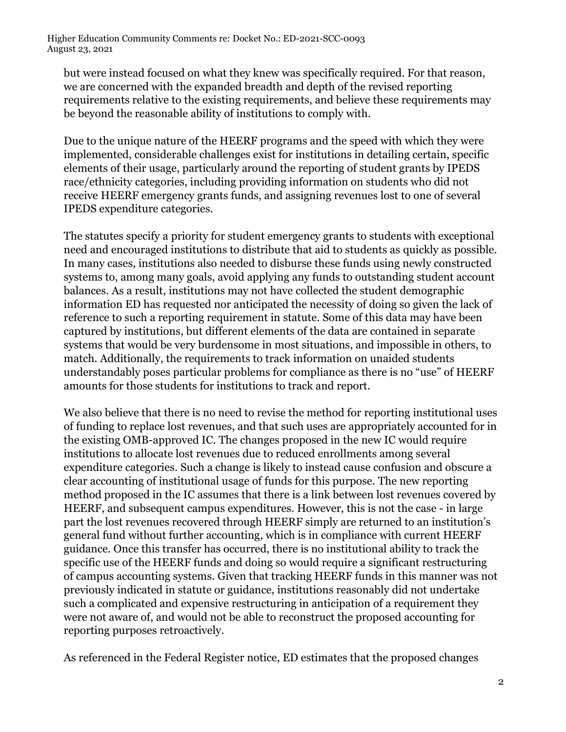but were instead focused on what they knew was specifically required. For that reason, we are concerned with the expanded breadth and depth of the revised reporting requirements relative to the existing requirements, and believe these requirements may be beyond the reasonable ability of institutions to comply with.

Due to the unique nature of the HEERF programs and the speed with which they were implemented, considerable challenges exist for institutions in detailing certain, specific elements of their usage, particularly around the reporting of student grants by IPEDS race/ethnicity categories, including providing information on students who did not receive HEERF emergency grants funds, and assigning revenues lost to one of several IPEDS expenditure categories.

The statutes specify a priority for student emergency grants to students with exceptional need and encouraged institutions to distribute that aid to students as quickly as possible. In many cases, institutions also needed to disburse these funds using newly constructed systems to, among many goals, avoid applying any funds to outstanding student account balances. As a result, institutions may not have collected the student demographic information ED has requested nor anticipated the necessity of doing so given the lack of reference to such a reporting requirement in statute. Some of this data may have been captured by institutions, but different elements of the data are contained in separate systems that would be very burdensome in most situations, and impossible in others, to match. Additionally, the requirements to track information on unaided students understandably poses particular problems for compliance as there is no "use" of HEERF amounts for those students for institutions to track and report.

We also believe that there is no need to revise the method for reporting institutional uses of funding to replace lost revenues, and that such uses are appropriately accounted for in the existing OMB-approved IC. The changes proposed in the new IC would require institutions to allocate lost revenues due to reduced enrollments among several expenditure categories. Such a change is likely to instead cause confusion and obscure a clear accounting of institutional usage of funds for this purpose. The new reporting method proposed in the IC assumes that there is a link between lost revenues covered by HEERF, and subsequent campus expenditures. However, this is not the case - in large part the lost revenues recovered through HEERF simply are returned to an institution's general fund without further accounting, which is in compliance with current HEERF guidance. Once this transfer has occurred, there is no institutional ability to track the specific use of the HEERF funds and doing so would require a significant restructuring of campus accounting systems. Given that tracking HEERF funds in this manner was not previously indicated in statute or guidance, institutions reasonably did not undertake such a complicated and expensive restructuring in anticipation of a requirement they were not aware of, and would not be able to reconstruct the proposed accounting for reporting purposes retroactively.

As referenced in the Federal Register notice, ED estimates that the proposed changes